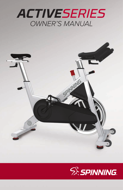



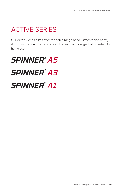## ACTIVE SERIES

Our Active Series bikes offer the same range of adjustments and heavy duty construction of our commercial bikes in a package that is perfect for home use.

# *SPINNER® A5 SPINNER® A3 SPINNER® A1*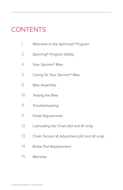## **CONTENTS**

- Welcome to the Spinning® Program
- 2 Spinning<sup>®</sup> Program Safety
- Your Spinner® Bike
- Caring for Your Spinner® Bike
- Bike Assembly
- Testing the Bike
- Troubleshooting
- Pedal Adjustments
- Lubricating the Chain (A3 and A1 only)
- Chain Tension & Adjustment (A3 and A1 only)
- Brake Pad Replacement
- Warranty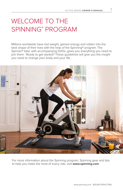1

### WELCOME TO THE SPINNING® PROGRAM

Millions worldwide have lost weight, gained energy and ridden into the best shape of their lives with the help of the Spinning® program. The Spinner® bike, with accompanying DVDs, gives you everything you need to join them. Ready to get started? These guidelines will give you the insight you need to change your body and your life.



For more information about the Spinning program, Spinning gear and tips to help you make the most of every ride, visit **www.spinning.com**.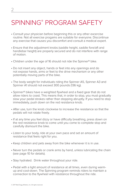### SPINNING® PROGRAM SAFETY

- Consult your physician before beginning this or any other excercise routine. Not all exercise progams are suitable for everyone. Discontinue any exercise that causes you discomfort and consult a medical expert.
- Ensure that the adjustment knobs (saddle height, saddle fore/aft and handlebar height) are properly secured and do not interfere with range of motion.
- Children under the age of 16 should not ride the Spinner® bike.
- Do not insert any object, hands or feet into any openings and do not expose hands, arms or feet to the drive mechanism or any other potentially moving parts of the bike.
- The body weight for individuals riding the Spinner A5, Spinner A3 and Spinner A1 should not exceed 300 pounds (136 kg).
- Spinner® bikes have a weighted flywheel and a fixed gear that do not allow riders to coast. This means that, in order to stop, you must gradually slow your pedal strokes rather than stopping abruptly. If you need to stop immediately, push down on the red resistance knob.
- After use, turn the knob clockwise to increase the resistance so that the pedals will not rotate freely.
- If at any time you feel dizzy or have difficulty breathing, press down on the red resistance knob to come until you come to complete stop and carefully dismount the bike.
- Listen to your body, ride at your own pace and set an amount of resistance that feels right for you.
- Keep children and pets away from the bike whenever it is in use.
- Never turn the pedals or crank arms by hand, unless lubricating the chain (see page 10 for details).
- Stay hydrated. Drink water throughout your ride.
- Pedal with a light amount of resistance at all times, even during warmup and cool-down. The Spinning program reminds riders to maintain a connection to the flywheel with resistance throughout the ride.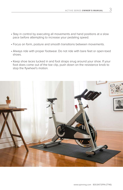3

- Stay in control by executing all movements and hand positions at a slow pace before attempting to increase your pedaling speed.
- Focus on form, posture and smooth transitions between movements.
- Always ride with proper footwear. Do not ride with bare feet or open-toed shoes.
- Keep shoe laces tucked in and foot straps snug around your shoe. If your foot does come out of the toe clip, push down on the resistance knob to stop the flywheel's motion.

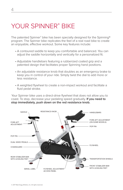### YOUR SPINNER<sup>®</sup> BIKE

The patented Spinner® bike has been specially designed for the Spinning® program. The Spinner bike replicates the feel of a real road bike to create an enjoyable, effective workout. Some key features include:

- A contoured saddle to keep you comfortable and balanced. You can adjust the saddle horizontally and vertically for a personalized fit.
- Adjustable handlebars featuring a rubberized coated grip and a patented design that facilitates proper Spinning hand positions.
- An adjustable resistance knob that doubles as an emergency brake to keep you in control of your ride. Simply twist the dial to add more or less resistance.
- A weighted flywheel to create a non-impact workout and facilitate a fluid pedal stroke.

Your Spinner bike uses a direct-drive flywheel that does not allow you to coast. To stop, decrease your pedaling speed gradually. **If you need to stop immediately, push down on the red resistance knob.**

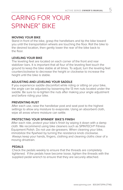### CARING FOR YOUR SPINNER® BIKE

#### **MOVING YOUR BIKE**

Stand in front of the bike, grasp the handlebars and tip the bike toward you until the transportation wheels are touching the floor. Roll the bike to the desired location, then gently lower the rear of the bike back to the floor.

#### **LEVELING YOUR BIKE**

The leveling feet are located on each corner of the front and rear stabilizer bars. It is important that all four of the leveling feet touch the ground to keep the bike stable at all times. To adjust, turn the leveling feet counterclockwise to decrease the height or clockwise to increase the height until the bike is stable.

#### **ADJUSTING AND LEVELING YOUR SADDLE**

If you experience saddle discomfort while riding or sitting on your bike, the angle can be adjusted by loosening the 13 mm nuts located under the saddle. Be sure to re-tighten the nuts after making your angle adjustment and before riding your bike.

#### **PREVENTING RUST**

After each use, raise the handlebar post and seat post to the highest settings to allow any moisture to evaporate. Using an absorbent cloth, wipe all areas where moisture can settle.

#### **PROTECTING YOUR SPINNER® BIKE'S FINISH**

After each ride, protect your bike's finish by wiping it down with a damp cloth. We recommend using bike cleaners such as SPINTECH® Fitness Equipment Polish. Do not use de-greasers. When cleaning your bike, immobilize the flywheel by turning the resistance knob clockwise. Always keep your hands, fingers, clothing and cleaning cloths clear of a moving drivetrain.

#### **PEDALS**

Check the pedals weekly to ensure that the threads are completely tightened. If the pedals have become loose, tighten the threads with the supplied pedal wrench to ensure that they are securely attached.

5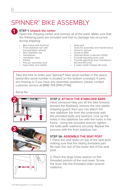## SPINNER® BIKE ASSEMBLY



### **1 STEP 1: Unpack the carton**<br>Open the shipping carton a

Open the shipping carton and remove all of the parts. Make sure that the following parts are included and that no damage has occurred during shipping:

- Bike frame with flywheel
- Front stabilizer bar with transportation wheels
- Rear stabilizer bar
- Handlebars
- Handlebar stem
- Pedals
- Pop pin assembly seat
- Seat slider and saddle
- Seat post
- Tools for assembly and maintenance
- Owner's manual
- Guide to Ride
- Ultimate Rides Collection DVDs
- Fore/aft adjusting lever seat
- Fore/aft adjusting lever handlebars (A3 and A5 only)
- 2 water bottle holders (A1 only)

Take the time to enter your Spinner® bike serial number in the space below (the serial number is located on the bottom crossbar). If parts are missing or if you have any assembly questions, please contact customer service at (888) 704.SPIN (7746).

Serial No.:





### **STEP 2: ATTACH THE STABILIZER BARS**

Have someone help you tilt the bike forward (toward the flywheel), remove the rear plastic shipping guard, then you can attach the rear stabilizer bar from the underside with the provided bolts and washers. Line up the holes in the stabilizer bar with the holes in the frame. Using the included wrench, tighten the bolts (with washers) securely. Repeat the process with the front stabilizer bar.

### **STEP 3A: ASSEMBLE THE SEAT POST**

1. Place the seat slider on top of the seat post, making sure that the sliding threaded part fits near the rear of the lower slot of the seat post.



2. Place the large brass washer on the threaded portion of the seat lever. Screw the lever into the threaded slider several rotations.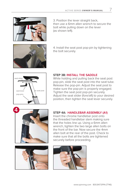

3. Position the lever straight back, then use a 6mm allen wrench to secure the bolt while pulling down on the lever (as shown left).



4. Install the seat post pop-pin by tightening the bolt securely.



#### **STEP 3B: INSTALL THE SADDLE**

While holding and pulling back the seat post pop-pin, slide the seat post into the seat tube. Release the pop-pin. Adjust the seat post to make sure the pop-pin is properly engaged. Tighten the seat post pop-pin securely. Adjust the seat slider (fore/aft) to your desired position, then tighten the seat lever securely.



### **STEP 4A: HANDLEBAR ASSEMBLY (A1)**

Insert the chrome handlebar post onto the threaded handlebar stem making sure that the holes line up. Using a 6mm allen wrench, tighten the two large allen bolts on the front of the bar. Now secure the 4mm allen bolt at the rear of the post. Check to make sure that all the bolts are tightened securely before proceeding.





7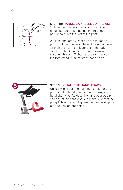

### **STEP 4B: HANDLEBAR ASSEMBLY (A3, A5)**

1. Place the handlebar on top of the sliding handlebar post insuring that the threaded portion falls into the slot of the post.

2. Place one large washer on the threaded portion of the handlebar lever. Use a 6mm allen wrench to secure the lever to the threaded slider. Pull back on the lever as shown when securing the bolt. Tighten the lever to secure the fore/aft adjustment of the handlebars.



#### **STEP 5: INSTALL THE HANDLEBARS**

Unscrew, pull out and hold the handlebar poppin. Slide the handlebar post all the way into the handlebar tube. Release the handlebar pop-pin and adjust the handlebars to make sure that the pop-pin is engaged. Tighten the handlebar poppin securely before riding.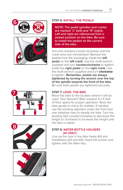



### **STEP 6: INSTALL THE PEDALS**

**NOTE: The pedal spindles and cranks are marked "L" (left) and "R" (right). Left and right are referenced from a seated position on the bike. Be sure to install the pedals on the correct side of the bike.**

SERIES OWNER'S MANUAL<br>
L THE PEDALS<br>
dal spindles and cranks<br>
" (left) and "R" (right).<br>
" (left) and "R" (right).<br>
an a referenced from a<br>
no on the bike. Be sure<br>
eechad on the correct<br>
ce.<br>
ce knob clockwise until the Turn the resistance knob clockwise until the crank arms are immobilized. Remove the pedals from the packaging. Install the **left pedal** on the **left crank**. Use the multi-wrench supplied and turn **counterclockwise** to tighten. Install the **right pedal** on the **right crank**. Use the multi-wrench supplied and turn **clockwise** to tighten. **Remember, pedals are always tightened by turning the wrench over the top of the spindle towards the front of the bike.** Be sure both pedals are tightened securely.



### **STEP 7: LEVEL THE BIKE**

Move the bike to the location where it will be used. Your Spinner® Bike requires 4 x 6 feet of floor space for proper operation. Rock the bike gently to check for wobble. If needed, use the leveling adjusters under the front and rear stabilizer bars to steady the bike. Turn the leveling feet counterclockwise to decrease the height or clockwise to increase the height until the bike is stable





### **STEP 8: WATER BOTTLE HOLDERS (A1 ONLY)**

Line up the hole in the bike frame (A1) and handlebars (A3 and A5). Insert the screws and tighten with the Allen key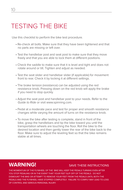### TESTING THE BIKE

Use this checklist to perform the bike test procedure.

- Re-check all bolts. Make sure that they have been tightened and that no parts are missing or left over.
- Test the handlebar post and seat post to make sure that they move freely and that you are able to lock them at different positions.
- Check the saddle to make sure that it is level and tight and does not rotate around or tilt. Tighten and adjust as needed.
- Test the seat slider and handlebar slider (if applicable) for movement front to rear. Check it by locking it at different settings.
- The brake tension (resistance) can be adjusted using the red resistance knob. Pressing down on the red knob will apply the brake if you need to stop quickly.
- Adjust the seat post and handlebar post to your needs. Refer to the Guide to Ride or visit www.spinning.com.
- Pedal at a moderate pace and test for proper and smooth resistance changes while varying the amount of turns on the resistance knob.
- To move the bike after testing is complete, stand in front of the bike, grasp the handlebars and tip the bike toward you until the transportation wheels are touching the floor. Roll the bike to the desired location and then gently lower the rear of the bike back to the floor. Make sure to adjust the leveling feet so that the bike remains stable at all times.

### **WARNING!** SAVE THESE INSTRUCTIONS

THE MOMENTUM OF THE FLYWHEEL OF THE BIKE WILL KEEP THE PEDALS TURNING EVEN AFTER YOU STOP PEDALING OR IN THE EVENT THAT YOUR FEET SLIP OFF OF THE PEDALS. DO NOT DISMOUNT THE BIKE OR ATTEMPT TO REMOVE YOUR FEET FROM THE PEDALS UNTIL BOTH THE PEDALS AND THE FLYWHEEL HAVE STOPPED COMPLETELY. FAILURE TO COMPLY MAY LEAD TO LOSS OF CONTROL AND SERIOUS PERSONAL INJURY.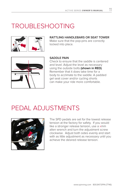### TROUBLESHOOTING



**RATTLING HANDLEBARS OR SEAT TOWER** Make sure that the pop-pins are correctly locked into place.



### **SADDLE PAIN**

Check to ensure that the saddle is centered and level. Adjust the level as necessary using the outside bolts **(shown in RED)**. Remember that it does take time for a body to acclimate to the saddle. A padded gel seat cover and/or cycling shorts can make your ride more comfortable.

### PEDAL ADJUSTMENTS



The SPD pedals are set for the lowest release tension at the factory for safety. If you would like a stronger release tension, use a xmm allen wrench and turn the adjustment screw clockwise. Adjust both sides evenly and start with as little adjustment as necessary until you achieve the desired release tension.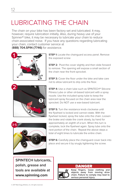## LUBRICATING THE CHAIN

The chain on your bike has been factory set and lubricated. It may, however, require lubrication initially. Also, during heavy use of your Spinner® bike, it may be necessary to lubricate your chain to reduce chain-associated noise. If you have any questions regarding lubricating your chain, contact customer service at (**888) 704.SPIN (7746)** for assistance.

**1**

**STEP 1:** Locate the chainguard access panel. Remove the exposed screw

**STEP 2:** Pivot the cover slightly and then slide forward to remove. The opening will expose a small section of the chain near the front sprocket.

**STEP 3:** Cover the floor under the bike and take care not to allow lubricant to drip onto the floor.

**STEP 4:** Use a chain lube such as SPINTECH® Silicone Fitness Lube or other oil-based lubricant with a spray nozzle. Use the included spray tube to keep the lubricant spray focused on the chain area near the sprocket. Do NOT use a wax-based lubricant.

**STEP 5:** Turn the resistance knob clockwise until the flywheel is locked and cannot rotate. With the flywheel locked, spray the lube onto the chain. Loosen the brake and rotate the crank slowly, by hand for approximately an eighth of a turn. When this turn is complete, lock the flywheel again. Spray lube onto the next portion of the chain. Repeat the above steps a total of eight times to lubricate the entire chain.

**STEP 6:** Carefully place the chainguard cover back into place and secure it by snugly tightening the screw.

**SPINTECH lubricants, polish, grease and tools are available at www.spinning.com**

### **DANGER**



**Keep fingers, loose clothing and objects away from moving drive chain. Failure to comply may lead to serious personal injury.**



**3-5**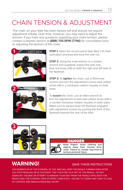## CHAIN TENSION & ADJUSTMENT

The chain on your bike has been factory set and should not require adjustment initially. Over time, however, you may need to adjust the tension. If you have any questions regarding your chain tension, please contact customer service at **(888) 704.SPIN (7746)** for consultation prior to adjusting the tension of the chain.



**2** RIGHT

**STEP 1:** Open the access panel (see Step 1 of chain lubrication process) and local the axle nut.

**STEP 2:** Using the multi-wrench or a socket wrench (not supplied), loosen the axle nuts (see red arrow left) on both the right and left side of the flywheel.

**STEP 3:** To **tighten** the chain, use a 10mm box wrench and turn the adjustment screws (see yellow arrow left) in a clockwise rotation equally on both sides.

To **loosen** the chain, use an Allen wrench to turn the adjustment screws (see yellow arrow left) in a counter-clockwise rotation equally on both sides. Make sure to always keep the flywheel engaged with adjustment screws by pushing the front of the flywheel towards the rear of the bike.





### **DANGER**

**Keep fingers, loose clothing and objects away from moving drive chain. Failure to comply may lead to serious personal injury.**

### **WARNING!** SAVE THESE INSTRUCTIONS

THE MOMENTUM OF THE FLYWHEEL OF THE BIKE WILL KEEP THE PEDALS TURNING EVEN AFTER YOU STOP PEDALING OR IN THE EVENT THAT YOUR FEET SLIP OFF OF THE PEDALS. DO NOT DISMOUNT THE BIKE OR ATTEMPT TO REMOVE YOUR FEET FROM THE PEDALS UNTIL BOTH THE PEDALS AND THE FLYWHEEL HAVE STOPPED COMPLETELY. FAILURE TO COMPLY MAY LEAD TO LOSS OF CONTROL AND SERIOUS PERSONAL INJURY.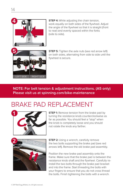

**STEP 4:** While adjusting the chain tension, work equally on both sides of the flywheel. Adjust the angle of the flywheel so that it is straight (front to rear) and evenly spaced within the forks (side to side).



**STEP 5:** Tighten the axle nuts (see red arrow left) on both sides, alternating from side to side until the flywheel is secure.

### **NOTE: For belt tension & adjustment instructions. (A5 only) Please visit us at spinning.com/bike-maintenance**

### BRAKE PAD REPLACEMENT



**STEP 1:** Remove tension from the brake pad by turning the resistance knob counterclockwise as far as possible. You should feel a "stop" when the knob is completely loose and you should not rotate the knob any farther.



**STEP 2:** Using a wrench, carefully remove the two bolts supporting the brake pad (see red arrows left). Remove the old brake pad assembly.

Position the new brake pad assembly onto the frame. Make sure that the brake pad is between the resistance knob shaft and the flywheel. Carefully reinstall the two bolts through the brake pad bracket and into the frame. Start threading the bolts with your fingers to ensure that you do not cross thread the bolts. Finish tightening the bolts with a wrench.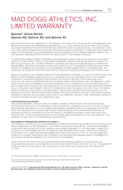### MAD DOGG ATHLETICS, INC. LIMITED WARRANTY

#### **Spinner® Active Series: Spinner A5, Spinner A3, and Spinner A1**

MAD DOGG ATHLETICS, INC. WARRANTS TO THE ORIGINAL PURCHASER THAT THE ACTIVE LINE OF SPINNER BIKES WILL BE FREE FROM DEFECTS IN WORKMANSHIP AND MATERIALS. ALL OTHER SPINNER ACTIVE LINE PARTS ARE COVERED FOR ONE (1) YEAR FROM THE DATE OF PURCHASE (SEE LIMITATIONS AND EXCLUSIONS BELOW). THIS WARRANTY DOES NOT COVER LABOR CHARGES ASSOCIATED WITH REPLACING COVERED COMPONENTS. PART(S) REPLACED UNDER THE TERMS OF THIS WARRANTY WILL BE WARRANTIED FOR THE REMAINDER OF THE ORIGINAL WARRANTY PERIOD ONLY. THIS WARRANTY BECOMES EFFECTIVE UPON THE INVOICE DATE OF THE ORIGINAL PURCHASE.

TO ORDER REPLACEMENT PART(S), THE ORIGINAL PURCHASER MAY CONTACT MAD DOGG ATHLETICS, INC. PRODUCT SUPPORT AT (888) 704.SPIN. PROOF OF PURCHASE OR WARRANTY REGISTRATION MAY BE NEEDED IN ORDER FOR MAD DOGG ATHLETICS, INC. TO VERIFY WARRANTY COVERAGE AND ISSUE A RETURN MATERIALS AUTHORIZATION (RMA) NUMBER. PARTS BEING RETURNED TO MAD DOGG ATHLETICS, INC. FOR WARRANTY CREDIT MUST BE SHIPPED PREPAID, ACCOMPANIED BY A PACKING LIST OR TAG BEARING THE RMA NUMBER AND THE CUSTOMER NAME. NO CREDIT WILL BE ISSUED FOR PARTS RETURNED WITHOUT PRIOR AUTHORIZATION FROM MAD DOGG ATHLETICS, INC.

MAD DOGG ATHLETICS, INC. RESERVES THE RIGHT TO REVIEW DEFECTIVE PART(S). ALL COSTS OF SHIPPING DEFECTIVE PART(S) TO AND FROM MAD DOGG ATHLETICS, INC. FOR INSPECTION SHALL BE BORNE SOLEY BY THE ORIGINAL PURCHASER. ANY REPAIR OR MODIFICATION OF DEFECTIVE PART(S) BY ANYONE OTHER THAN A MAD DOGG ATHLETICS, INC. TECHICAL REPRESENTATIVE OR AUTHORIZED SERVICE PROVIDER WILL VOID THIS WARRANTY. IF MAD DOGG ATHLETICS, INC. DETERMINES, IN ITS SOLE DESCRETION, THAT IT IS IMPRACTICAL TO SHIP DEFECTIVE PARTS BACK TO MAD DOGG ATHLETICS, INC., MAD DOGG ATHLETICS, INC. MAY DESIGNATE, IN ITS SOLE DISCRETION, A REPAIR FACILITY TO INSPECT AND ESTIMATE THE COST TO REPAIR SUCH DEFECTIVE PART(S). THE COST, IF ANY, OF SHIPPING DEFECTIVE PART(S) TO AND FROM SUCH REPAIR FACILITY AND OF SUCH ESTIMATE SHALL BE BORNE SOLY BY THE ORIGINAL PURCHASER. DEFECTIVE PART(S) MUST REMAIN AVAILABLE FOR INSPECTION UNTIL THE CLAIM IS FINALIZED. WHENEVER CLAIMS ARE SETTLED, MAD DOGG ATHLETICS, INC. RESERVES THE RIGHT TO BE SUBROGATED UNDER ANY EXISTING INSURANCE POLICES THE CLAIMANT MAY HAVE.

#### **LIMITATIONS AND EXCLUSIONS**

THIS LIMITED WARRANTY DOES NOT APPLY TO COSMETIC DAMAGE, IMPERFECTIONS THAT ARE WITHIN DESIGN SPECIFICATIONS OR THAT DO NOT MATERIALLY ALTER FUNCIONALITY, OR DAMAGE DUE TO ACTS OF GOD, ACCIDENT, ABUSE, MISUSE, NEGLIGENCE, LACK OF NORMAL MAINTENANCE, ABNORMAL SERVICE OR HANDLING THAT DIFFERS FROM THAT SPECIFIED FOR THE SPORT LINE OF BIKES, IMPROPER INSTALLATION OR IMPROPER OPERATION. IN ADDITION, ALTERATION OR MODIFICATION OF THE PRODUCT, OR REPAIR BY ANYONE OTHER THAN A MAD DOGG ATHLETICS, INC. TECHNICAL REPRESENTATIVE OR AUTHORIZED SERVICE PROVIDER WILL VOID THIS WARRANTY. THIS WARRANTY IS VALID ONLY IN THE CONTINENTAL UNITED STATES.

#### **DISCLAIMER OF WARRANTIES; LIMITATION OF LIABILITY**

THIS WARRANTY IS IN LIEU OF ALL OTHER WARRANTIES, EXPRESSED OR IMPLIED, INCLUDING WITHOUT LIMITATION, THE IMPLIED WARRANTIES OF MERCHANTABILITY AND FITNESS FOR A PARTICULAR PURPOSE. REPAIR OR REPLACEMENT AS PROVIDED ABOVE SHALL BE THE SOLE AND EXCLUSIVE REMEDY AVAILABLE TO THE PURCHASER. CORRECTION OF DEFECTS, IN THE MANNER AND FOR THE PERIOD OF TIME DESCRIBED ABOVE, SHALL CONSTITUTE COMPLETE FULFILLMENT OF ALL LIABILITIES AND RESPONSIBILITIES OF MAD DOGG ATHLETICS, INC. TO THE PURCHASER WITH RESPECT TO CONTRACT, NEGLIGENCE, ANY INCIDENTAL OR CONSEQUENTIAL DAMAGES BASED UPON BREACH OF ANY EXPRESS OR IMPLIED WARRANTY ON THIS PRODUCT OR OTHERWISE.

SOME STATES DO NOT ALLOW THE EXCLUSION OR LIMITATION OF IMPLIED WARRANTIES OR INCIDENTAL OR CONSEQUENTIAL DAMAGES, SO THE ABOVE EXCLUSIONS AND LIMITATIONS MAY NOT APPLY TO YOU. THIS WARRANTY GIVES YOU SPECIFIC LEGAL RIGHTS, AND YOU MAY ALSO HAVE OTHER RIGHTS WHICH MAY VARY FROM STATE TO STATE.

The Spinner Active Series is **not** for commercial use and is warranted for home use only.

This product or use thereof is covered by US Patent Numbers: D677,349 and D677,747. US and International Patents Pending.

2014.05.20-0013797. **Copyright 2017 Mad Dogg Athletics, Inc. All rights reserved. SPIN®, Spinner®, Spinning® and the Spinning logo® are registered trademarks that are owned by Mad Dogg Athletics, Inc.**